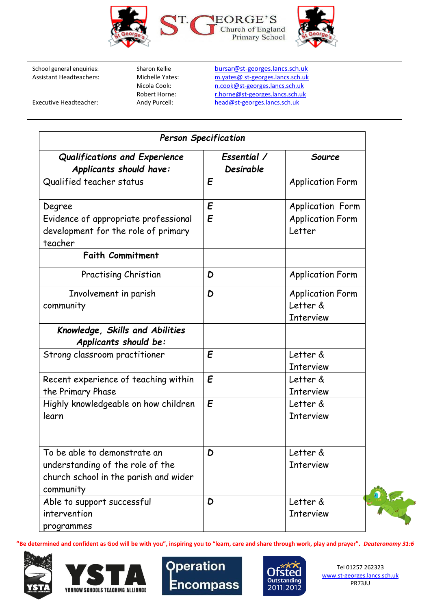

School general enquiries: Sharon Kellie [bursar@st-georges.lancs.sch.uk](mailto:bursar@st-georges.lancs.sch.uk)<br>Assistant Headteachers: Michelle Yates: m.yates@st-georges.lancs.sch.uk Michelle Yates: m.yates@ st-georges.lancs.sch.uk<br>Nicola Cook: m.cook@st-georges.lancs.sch.uk Nicola Cook: n.cook@st-georges.lancs.sch.uk<br>Robert Horne: n.horne@st-georges.lancs.sch.uk Robert Horne: [r.horne@st-georges.lancs.sch.uk](mailto:r.horne@st-georges.lancs.sch.uk)<br>Andy Purcell: head@st-georges.lancs.sch.uk Executive Headteacher: Andy Purcell: [head@st-georges.lancs.sch.uk](mailto:head@st-georges.lancs.sch.uk)

| <b>Person Specification</b>                                                                                            |                          |                                                         |  |
|------------------------------------------------------------------------------------------------------------------------|--------------------------|---------------------------------------------------------|--|
| Qualifications and Experience<br>Applicants should have:                                                               | Essential /<br>Desirable | Source                                                  |  |
| Qualified teacher status                                                                                               | E                        | <b>Application Form</b>                                 |  |
| Degree                                                                                                                 | E                        | <b>Application Form</b>                                 |  |
| Evidence of appropriate professional<br>development for the role of primary<br>teacher                                 | $\mathbf{E}$             | <b>Application Form</b><br>Letter                       |  |
| <b>Faith Commitment</b>                                                                                                |                          |                                                         |  |
| Practising Christian                                                                                                   | D                        | <b>Application Form</b>                                 |  |
| Involvement in parish<br>community                                                                                     | D                        | <b>Application Form</b><br>Letter &<br><b>Interview</b> |  |
| Knowledge, Skills and Abilities<br>Applicants should be:                                                               |                          |                                                         |  |
| Strong classroom practitioner                                                                                          | E                        | Letter &<br><b>Interview</b>                            |  |
| Recent experience of teaching within<br>the Primary Phase                                                              | E                        | Letter &<br><b>Interview</b>                            |  |
| Highly knowledgeable on how children<br>learn                                                                          | $\mathbf{E}$             | Letter &<br><b>Interview</b>                            |  |
| To be able to demonstrate an<br>understanding of the role of the<br>church school in the parish and wider<br>community | D                        | Letter &<br><b>Interview</b>                            |  |
| Able to support successful<br>intervention<br>programmes                                                               | D                        | Letter &<br><b>Interview</b>                            |  |

**"Be determined and confident as God will be with you", inspiring you to "learn, care and share through work, play and prayer".** *Deuteronomy 31:6* 









Tel 01257 262323 [www.st-georges.lancs.sch.uk](http://www.st-georges.lancs.sch.uk/)  PR73JU